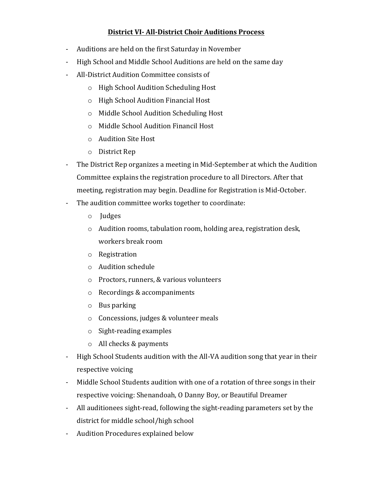# **District VI- All-District Choir Auditions Process**

- Auditions are held on the first Saturday in November
- High School and Middle School Auditions are held on the same day
- All-District Audition Committee consists of
	- $\circ$  High School Audition Scheduling Host
	- o High School Audition Financial Host
	- o Middle School Audition Scheduling Host
	- o Middle School Audition Financil Host
	- o Audition Site Host
	- o District Rep
- The District Rep organizes a meeting in Mid-September at which the Audition Committee explains the registration procedure to all Directors. After that meeting, registration may begin. Deadline for Registration is Mid-October.
- The audition committee works together to coordinate:
	- o Judges
	- $\circ$  Audition rooms, tabulation room, holding area, registration desk, workers break room
	- o Registration
	- $\circ$  Audition schedule
	- $\circ$  Proctors, runners, & various volunteers
	- $\circ$  Recordings & accompaniments
	- $\circ$  Bus parking
	- $\circ$  Concessions, judges & volunteer meals
	- $\circ$  Sight-reading examples
	- $\circ$  All checks & payments
- High School Students audition with the All-VA audition song that year in their respective voicing
- Middle School Students audition with one of a rotation of three songs in their respective voicing: Shenandoah, O Danny Boy, or Beautiful Dreamer
- All auditionees sight-read, following the sight-reading parameters set by the district for middle school/high school
- Audition Procedures explained below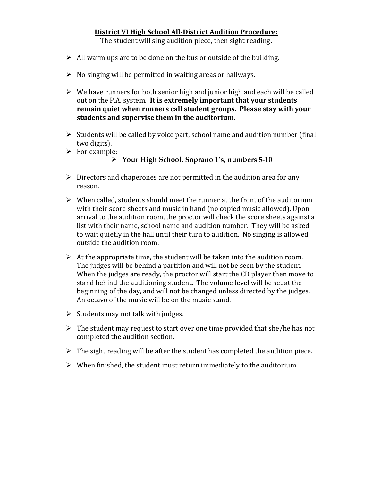#### **District VI High School All-District Audition Procedure:**

The student will sing audition piece, then sight reading.

- $\triangleright$  All warm ups are to be done on the bus or outside of the building.
- $\triangleright$  No singing will be permitted in waiting areas or hallways.
- $\triangleright$  We have runners for both senior high and junior high and each will be called out on the P.A. system. It is extremely important that your students **remain quiet when runners call student groups. Please stay with your** students and supervise them in the auditorium.
- $\triangleright$  Students will be called by voice part, school name and audition number (final two digits).
- $\triangleright$  For example:
	- Ø **Your High School, Soprano 1's, numbers 5-10**
- $\triangleright$  Directors and chaperones are not permitted in the audition area for any reason.
- $\triangleright$  When called, students should meet the runner at the front of the auditorium with their score sheets and music in hand (no copied music allowed). Upon arrival to the audition room, the proctor will check the score sheets against a list with their name, school name and audition number. They will be asked to wait quietly in the hall until their turn to audition. No singing is allowed outside the audition room.
- $\triangleright$  At the appropriate time, the student will be taken into the audition room. The judges will be behind a partition and will not be seen by the student. When the judges are ready, the proctor will start the CD player then move to stand behind the auditioning student. The volume level will be set at the beginning of the day, and will not be changed unless directed by the judges. An octavo of the music will be on the music stand.
- $\triangleright$  Students may not talk with judges.
- $\triangleright$  The student may request to start over one time provided that she/he has not completed the audition section.
- $\triangleright$  The sight reading will be after the student has completed the audition piece.
- $\triangleright$  When finished, the student must return immediately to the auditorium.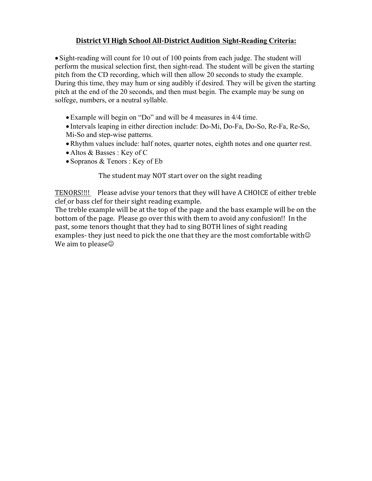# **District VI High School All-District Audition Sight-Reading Criteria:**

• Sight-reading will count for 10 out of 100 points from each judge. The student will perform the musical selection first, then sight-read. The student will be given the starting pitch from the CD recording, which will then allow 20 seconds to study the example. During this time, they may hum or sing audibly if desired. They will be given the starting pitch at the end of the 20 seconds, and then must begin. The example may be sung on solfege, numbers, or a neutral syllable.

•Example will begin on "Do" and will be 4 measures in 4/4 time.

• Intervals leaping in either direction include: Do-Mi, Do-Fa, Do-So, Re-Fa, Re-So, Mi-So and step-wise patterns.

- •Rhythm values include: half notes, quarter notes, eighth notes and one quarter rest.
- Altos & Basses : Key of C
- Sopranos & Tenors : Key of Eb

The student may NOT start over on the sight reading

TENORS!!!! Please advise your tenors that they will have A CHOICE of either treble clef or bass clef for their sight reading example.

The treble example will be at the top of the page and the bass example will be on the bottom of the page. Please go over this with them to avoid any confusion!! In the past, some tenors thought that they had to sing BOTH lines of sight reading examples- they just need to pick the one that they are the most comfortable with $\odot$ We aim to please $\odot$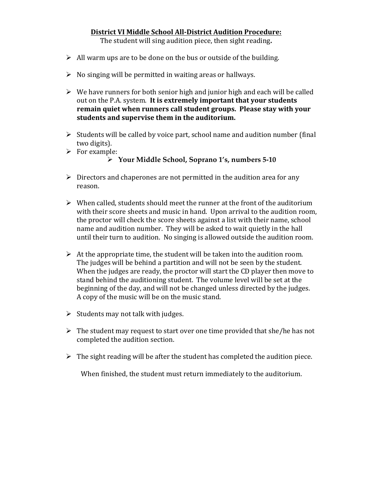# **District VI Middle School All-District Audition Procedure:**

The student will sing audition piece, then sight reading.

- $\triangleright$  All warm ups are to be done on the bus or outside of the building.
- $\triangleright$  No singing will be permitted in waiting areas or hallways.
- $\triangleright$  We have runners for both senior high and junior high and each will be called out on the P.A. system. It is extremely important that your students remain quiet when runners call student groups. Please stay with your students and supervise them in the auditorium.
- $\triangleright$  Students will be called by voice part, school name and audition number (final two digits).
- $\triangleright$  For example:
	- Ø **Your Middle School, Soprano 1's, numbers 5-10**
- $\triangleright$  Directors and chaperones are not permitted in the audition area for any reason.
- $\triangleright$  When called, students should meet the runner at the front of the auditorium with their score sheets and music in hand. Upon arrival to the audition room, the proctor will check the score sheets against a list with their name, school name and audition number. They will be asked to wait quietly in the hall until their turn to audition. No singing is allowed outside the audition room.
- $\triangleright$  At the appropriate time, the student will be taken into the audition room. The judges will be behind a partition and will not be seen by the student. When the judges are ready, the proctor will start the CD player then move to stand behind the auditioning student. The volume level will be set at the beginning of the day, and will not be changed unless directed by the judges. A copy of the music will be on the music stand.
- $\triangleright$  Students may not talk with judges.
- $\triangleright$  The student may request to start over one time provided that she/he has not completed the audition section.
- $\triangleright$  The sight reading will be after the student has completed the audition piece.

When finished, the student must return immediately to the auditorium.